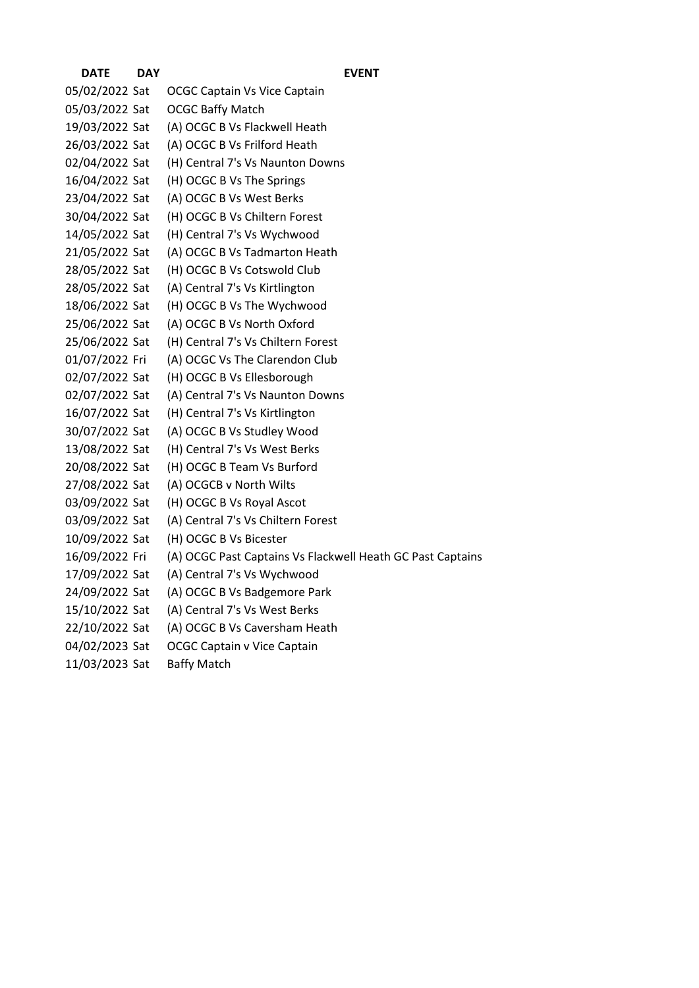| <b>DATE</b>    | <b>DAY</b> | <b>EVENT</b>                                               |
|----------------|------------|------------------------------------------------------------|
| 05/02/2022 Sat |            | <b>OCGC Captain Vs Vice Captain</b>                        |
| 05/03/2022 Sat |            | <b>OCGC Baffy Match</b>                                    |
| 19/03/2022 Sat |            | (A) OCGC B Vs Flackwell Heath                              |
| 26/03/2022 Sat |            | (A) OCGC B Vs Frilford Heath                               |
| 02/04/2022 Sat |            | (H) Central 7's Vs Naunton Downs                           |
| 16/04/2022 Sat |            | (H) OCGC B Vs The Springs                                  |
| 23/04/2022 Sat |            | (A) OCGC B Vs West Berks                                   |
| 30/04/2022 Sat |            | (H) OCGC B Vs Chiltern Forest                              |
| 14/05/2022 Sat |            | (H) Central 7's Vs Wychwood                                |
| 21/05/2022 Sat |            | (A) OCGC B Vs Tadmarton Heath                              |
| 28/05/2022 Sat |            | (H) OCGC B Vs Cotswold Club                                |
| 28/05/2022 Sat |            | (A) Central 7's Vs Kirtlington                             |
| 18/06/2022 Sat |            | (H) OCGC B Vs The Wychwood                                 |
| 25/06/2022 Sat |            | (A) OCGC B Vs North Oxford                                 |
| 25/06/2022 Sat |            | (H) Central 7's Vs Chiltern Forest                         |
| 01/07/2022 Fri |            | (A) OCGC Vs The Clarendon Club                             |
| 02/07/2022 Sat |            | (H) OCGC B Vs Ellesborough                                 |
| 02/07/2022 Sat |            | (A) Central 7's Vs Naunton Downs                           |
| 16/07/2022 Sat |            | (H) Central 7's Vs Kirtlington                             |
| 30/07/2022 Sat |            | (A) OCGC B Vs Studley Wood                                 |
| 13/08/2022 Sat |            | (H) Central 7's Vs West Berks                              |
| 20/08/2022 Sat |            | (H) OCGC B Team Vs Burford                                 |
| 27/08/2022 Sat |            | (A) OCGCB v North Wilts                                    |
| 03/09/2022 Sat |            | (H) OCGC B Vs Royal Ascot                                  |
| 03/09/2022 Sat |            | (A) Central 7's Vs Chiltern Forest                         |
| 10/09/2022 Sat |            | (H) OCGC B Vs Bicester                                     |
| 16/09/2022 Fri |            | (A) OCGC Past Captains Vs Flackwell Heath GC Past Captains |
| 17/09/2022 Sat |            | (A) Central 7's Vs Wychwood                                |
| 24/09/2022 Sat |            | (A) OCGC B Vs Badgemore Park                               |
| 15/10/2022 Sat |            | (A) Central 7's Vs West Berks                              |
| 22/10/2022 Sat |            | (A) OCGC B Vs Caversham Heath                              |
| 04/02/2023 Sat |            | <b>OCGC Captain v Vice Captain</b>                         |
| 11/03/2023 Sat |            | <b>Baffy Match</b>                                         |